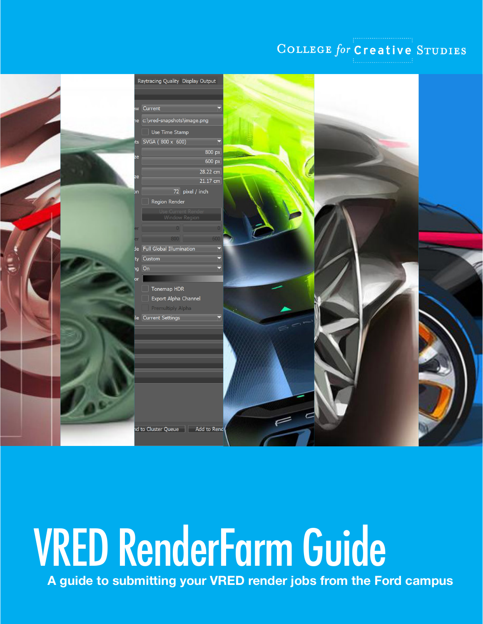#### COLLEGE for Creative STUDIES



# VRED RenderFarm Guide

**A guide to submitting your VRED render jobs from the Ford campus**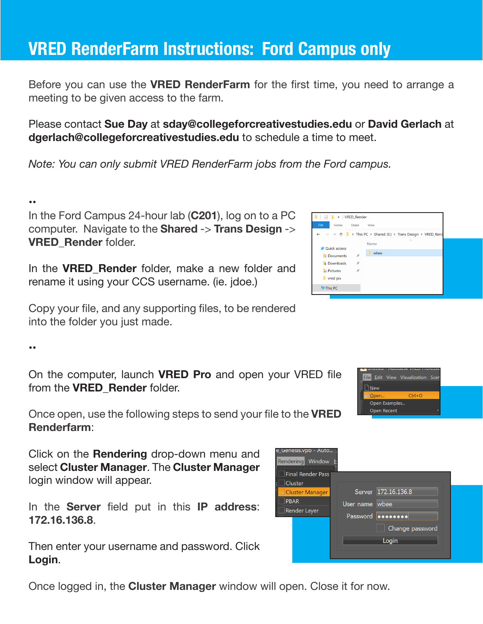### **VRED RenderFarm Instructions: Ford Campus only**

Before you can use the **VRED RenderFarm** for the first time, you need to arrange a meeting to be given access to the farm.

Please contact **Sue Day** at **sday@collegeforcreativestudies.edu** or **David Gerlach** at **dgerlach@collegeforcreativestudies.edu** to schedule a time to meet.

*Note: You can only submit VRED RenderFarm jobs from the Ford campus.*

#### ••

In the Ford Campus 24-hour lab (**C201**), log on to a PC computer. Navigate to the **Shared** -> **Trans Design** -> **VRED\_Render** folder.

In the **VRED\_Render** folder, make a new folder and rename it using your CCS username. (ie. jdoe.)

Copy your file, and any supporting files, to be rendered into the folder you just made.

••

On the computer, launch **VRED Pro** and open your VRED file from the **VRED\_Render** folder.

Once open, use the following steps to send your file to the **VRED Renderfarm**:

Click on the **Rendering** drop-down menu and select **Cluster Manager**. The **Cluster Manager** login window will appear.

In the **Server** field put in this **IP address**: **172.16.136.8**.

Then enter your username and password. Click **Login**.

Once logged in, the **Cluster Manager** window will open. Close it for now.





| لمنادر المتعاطف المتعاطفات<br>Rendering Window        |                                                                                        |
|-------------------------------------------------------|----------------------------------------------------------------------------------------|
| Final Render Pass<br>Cluster                          |                                                                                        |
| <b>Cluster Manager</b><br><b>PBAR</b><br>Render Layer | Server 172.16.136.8<br>User name wbee<br>Password <b>O</b><br>Change password<br>Login |

e (senesis vnh = Auto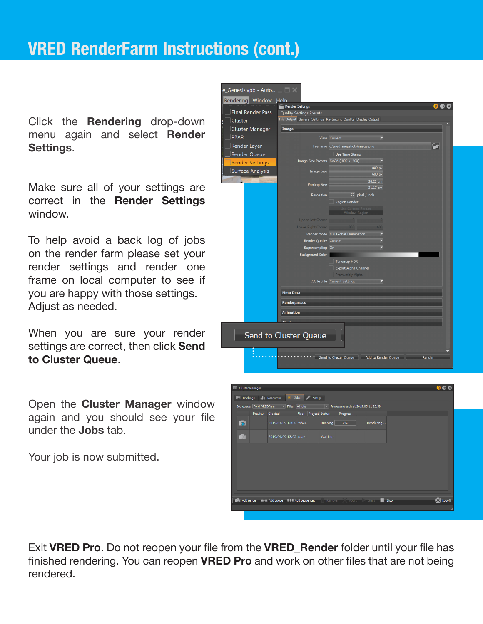Click the **Rendering** drop-down menu again and select **Render Settings**.

Make sure all of your settings are correct in the **Render Settings** window.

To help avoid a back log of jobs on the render farm please set your render settings and render one frame on local computer to see if you are happy with those settings. Adjust as needed.

When you are sure your render settings are correct, then click **Send to Cluster Queue**.

Open the **Cluster Manager** window again and you should see your file under the **Jobs** tab.

Your job is now submitted.

| Rendering Window Help    |                                 |                                                                |        |
|--------------------------|---------------------------------|----------------------------------------------------------------|--------|
| <b>Final Render Pass</b> | Render Settings                 |                                                                |        |
| Cluster                  | <b>Quality Settings Presets</b> | File Output General Settings Raytracing Quality Display Output |        |
| <b>Cluster Manager</b>   | Image                           |                                                                |        |
| <b>PBAR</b>              |                                 | View Current                                                   |        |
| Render Layer             |                                 | Filename c:\vred-snapshots\image.png                           | E      |
| <b>Render Queue</b>      |                                 | Use Time Stamp                                                 |        |
| <b>Render Settings</b>   |                                 | Image Size Presets SVGA (800 x 600)<br>≂                       |        |
| <b>Surface Analysis</b>  | <b>Image Size</b>               | 800 px<br>600 px                                               |        |
|                          |                                 | 28.22 cm                                                       |        |
|                          | <b>Printing Size</b>            | 21.17 cm                                                       |        |
|                          | Resolution                      | 72 pixel / inch                                                |        |
|                          |                                 | Region Render                                                  |        |
|                          |                                 | <b>Window Region</b>                                           |        |
|                          | <b>Upper Left Corner</b>        | $\Omega$                                                       |        |
|                          | <b>Lower Right Corner</b>       |                                                                |        |
|                          |                                 | Render Mode Full Global Illumination                           |        |
|                          | Render Quality Custom           |                                                                |        |
|                          | Supersampling On                |                                                                |        |
|                          | <b>Background Color</b>         |                                                                |        |
|                          |                                 | Tonemap HDR<br>Export Alpha Channel                            |        |
|                          |                                 | Premultiply Alpha                                              |        |
|                          |                                 | <b>ICC Profile Current Settings</b>                            |        |
|                          | <b>Meta Data</b>                |                                                                |        |
|                          | <b>Renderpasses</b>             |                                                                |        |
|                          | <b>Animation</b>                |                                                                |        |
|                          | Cluetor                         |                                                                |        |
|                          |                                 |                                                                |        |
|                          | Send to Cluster Queue           |                                                                |        |
|                          |                                 |                                                                |        |
|                          |                                 |                                                                |        |
|                          |                                 | Send to Cluster Queue Add to Render Queue                      | Render |
|                          |                                 |                                                                |        |

| <b>EED</b> Cluster Manager |                                                                                                                       |                                                                            |  |                     |          |           |      | 0 <sub>0</sub> |
|----------------------------|-----------------------------------------------------------------------------------------------------------------------|----------------------------------------------------------------------------|--|---------------------|----------|-----------|------|----------------|
|                            |                                                                                                                       | Bill Bookings III Resources <b>Company of Setup</b>                        |  |                     |          |           |      |                |
|                            | Job queue Ford_VREDFarm $\blacktriangledown$ Filter All jobs $\blacktriangledown$ Processing ends at 2019.05.11 23:59 |                                                                            |  |                     |          |           |      |                |
|                            | Preview Created                                                                                                       |                                                                            |  | User Project Status | Progress |           |      |                |
| <b>FO</b>                  |                                                                                                                       | 2019.04.09 13:05 wbee                                                      |  | Running             | 0%       | Rendering |      |                |
| $\bullet$                  |                                                                                                                       | 2019.04.09 13:05 sday                                                      |  | Waiting             |          |           |      |                |
|                            |                                                                                                                       |                                                                            |  |                     |          |           |      |                |
|                            |                                                                                                                       |                                                                            |  |                     |          |           |      |                |
|                            |                                                                                                                       |                                                                            |  |                     |          |           |      |                |
|                            |                                                                                                                       |                                                                            |  |                     |          |           |      |                |
|                            |                                                                                                                       | Collect Add render in a Add queue IIII Add sequences in Remove Abort Start |  |                     |          |           | Stop | X Logoff       |
|                            |                                                                                                                       |                                                                            |  |                     |          |           |      |                |
|                            |                                                                                                                       |                                                                            |  |                     |          |           |      |                |

Exit **VRED Pro**. Do not reopen your file from the **VRED\_Render** folder until your file has finished rendering. You can reopen **VRED Pro** and work on other files that are not being rendered.